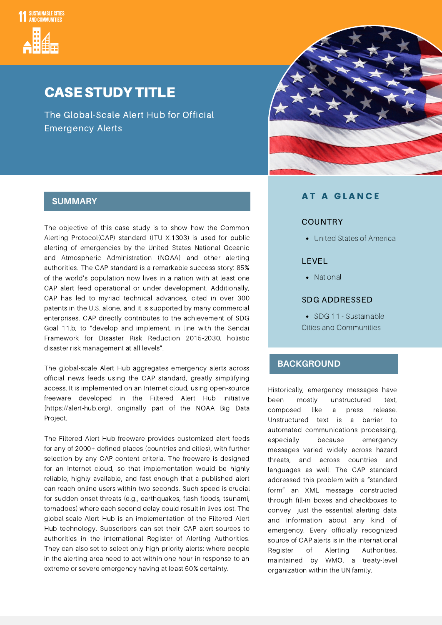

## CASE STUDY TITLE

The Global-Scale Alert Hub for Official Emergency Alerts



The objective of this case study is to show how the Common Alerting Protocol(CAP) standard (ITU X.1303) is used for public alerting of emergencies by the United States National Oceanic and Atmospheric Administration (NOAA) and other alerting authorities. The CAP standard is a remarkable success story: 85% of the world's population now lives in a nation with at least one CAP alert feed operational or under development. Additionally, CAP has led to myriad technical advances, cited in over 300 patents in the U.S. alone, and it is supported by many commercial enterprises. CAP directly contributes to the achievement of SDG Goal 11.b, to "develop and implement, in line with the Sendai Framework for Disaster Risk Reduction 2015-2030, holistic disaster risk management at all levels".

The global-scale Alert Hub aggregates emergency alerts across official news feeds using the CAP standard, greatly simplifying access. It is implemented on an Internet cloud, using open-source freeware developed in the Filtered Alert Hub initiative (https://alert-hub.org), originally part of the NOAA Big Data Project.

The Filtered Alert Hub freeware provides customized alert feeds for any of 2000+ defined places (countries and cities), with further selection by any CAP content criteria. The freeware is designed for an Internet cloud, so that implementation would be highly reliable, highly available, and fast enough that a published alert can reach online users within two seconds. Such speed is crucial for sudden-onset threats (e.g., earthquakes, flash floods, tsunami, tornadoes) where each second delay could result in lives lost. The global-scale Alert Hub is an implementation of the Filtered Alert Hub technology. Subscribers can set their CAP alert sources to authorities in the international Register of Alerting Authorities. They can also set to select only high-priority alerts: where people in the alerting area need to act within one hour in response to an extreme or severe emergency having at least 50% certainty.

### A T A G L A N C E **SUMMARY**

#### COUNTRY

United States of America

#### LEVEL

• National

#### SDG ADDRESSED

• SDG 11 - Sustainable Cities and Communities

#### **BACKGROUND**

Historically, emergency messages have been mostly unstructured text, composed like a press release. Unstructured text is a barrier to automated communications processing, especially because emergency messages varied widely across hazard threats, and across countries and languages as well. The CAP standard addressed this problem with a "standard form" an XML message constructed through fill-in boxes and checkboxes to convey just the essential alerting data and information about any kind of emergency. Every officially recognized source of CAP alerts is in the international Register of Alerting Authorities, maintained by WMO, a treaty-level organization within the UN family.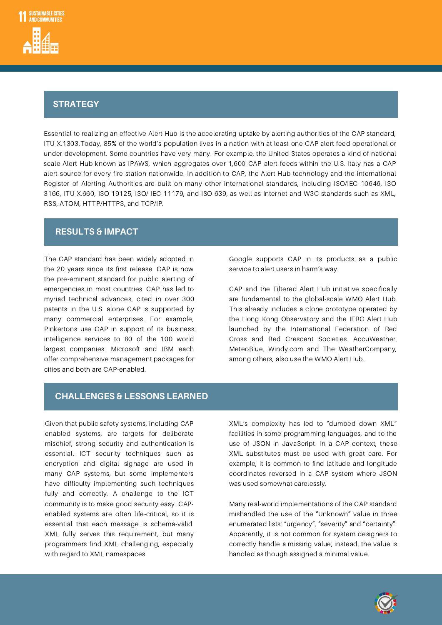# Strategy **STRATEGY**

Essential to realizing an effective Alert Hub is the accelerating uptake by alerting authorities of the CAP standard, ITU X.1303.Today, 85% of the world's population lives in a nation with at least one CAP alert feed operational or under development. Some countries have very many. For example, the United States operates a kind of national scale Alert Hub known as IPAWS, which aggregates over 1,600 CAP alert feeds within the U.S. Italy has a CAP alert source for every fire station nationwide. In addition to CAP, the Alert Hub technology and the international Register of Alerting Authorities are built on many other international standards, including ISO/IEC 10646, ISO 3166, ITU X.660, ISO 19125, ISO/ IEC 11179, and ISO 639, as well as Internet and W3C standards such as XML, RSS, ATOM, HTTP/HTTPS, and TCP/IP.

### **RESULTS & IMPACT**

The CAP standard has been widely adopted in the 20 years since its first release. CAP is now the pre-eminent standard for public alerting of emergencies in most countries. CAP has led to myriad technical advances, cited in over 300 patents in the U.S. alone CAP is supported by many commercial enterprises. For example, Pinkertons use CAP in support of its business intelligence services to 80 of the 100 world largest companies. Microsoft and IBM each offer comprehensive management packages for cities and both are CAP-enabled.

Google supports CAP in its products as a public service to alert users in harm's way.

CAP and the Filtered Alert Hub initiative specifically are fundamental to the global-scale WMO Alert Hub. This already includes a clone prototype operated by the Hong Kong Observatory and the IFRC Alert Hub launched by the International Federation of Red Cross and Red Crescent Societies. AccuWeather, MeteoBlue, Windy.com and The WeatherCompany, among others, also use the WMO Alert Hub.

#### **CHALLENGES & LESSONS LEARNED**

Given that public safety systems, including CAP enabled systems, are targets for deliberate mischief, strong security and authentication is essential. ICT security techniques such as encryption and digital signage are used in many CAP systems, but some implementers have difficulty implementing such techniques fully and correctly. A challenge to the ICT community is to make good security easy. CAPenabled systems are often life-critical, so it is essential that each message is schema-valid. XML fully serves this requirement, but many programmers find XML challenging, especially with regard to XML namespaces.

XML's complexity has led to "dumbed down XML" facilities in some programming languages, and to the use of JSON in JavaScript. In a CAP context, these XML substitutes must be used with great care. For example, it is common to find latitude and longitude coordinates reversed in a CAP system where JSON was used somewhat carelessly.

Many real-world implementations of the CAP standard mishandled the use of the "Unknown" value in three enumerated lists: "urgency", "severity" and "certainty". Apparently, it is not common for system designers to correctly handle a missing value; instead, the value is handled as though assigned a minimal value.